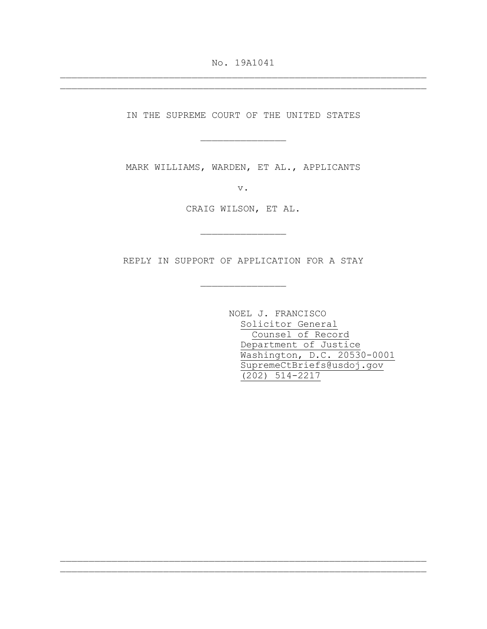No. 19A1041 \_\_\_\_\_\_\_\_\_\_\_\_\_\_\_\_\_\_\_\_\_\_\_\_\_\_\_\_\_\_\_\_\_\_\_\_\_\_\_\_\_\_\_\_\_\_\_\_\_\_\_\_\_\_\_\_\_\_\_\_\_\_\_\_

\_\_\_\_\_\_\_\_\_\_\_\_\_\_\_\_\_\_\_\_\_\_\_\_\_\_\_\_\_\_\_\_\_\_\_\_\_\_\_\_\_\_\_\_\_\_\_\_\_\_\_\_\_\_\_\_\_\_\_\_\_\_\_\_

IN THE SUPREME COURT OF THE UNITED STATES

\_\_\_\_\_\_\_\_\_\_\_\_\_\_\_

MARK WILLIAMS, WARDEN, ET AL., APPLICANTS

v.

CRAIG WILSON, ET AL.

\_\_\_\_\_\_\_\_\_\_\_\_\_\_\_

REPLY IN SUPPORT OF APPLICATION FOR A STAY

\_\_\_\_\_\_\_\_\_\_\_\_\_\_\_

\_\_\_\_\_\_\_\_\_\_\_\_\_\_\_\_\_\_\_\_\_\_\_\_\_\_\_\_\_\_\_\_\_\_\_\_\_\_\_\_\_\_\_\_\_\_\_\_\_\_\_\_\_\_\_\_\_\_\_\_\_\_\_\_ \_\_\_\_\_\_\_\_\_\_\_\_\_\_\_\_\_\_\_\_\_\_\_\_\_\_\_\_\_\_\_\_\_\_\_\_\_\_\_\_\_\_\_\_\_\_\_\_\_\_\_\_\_\_\_\_\_\_\_\_\_\_\_\_

NOEL J. FRANCISCO Solicitor General Counsel of Record Department of Justice Washington, D.C. 20530-0001 SupremeCtBriefs@usdoj.gov (202) 514-2217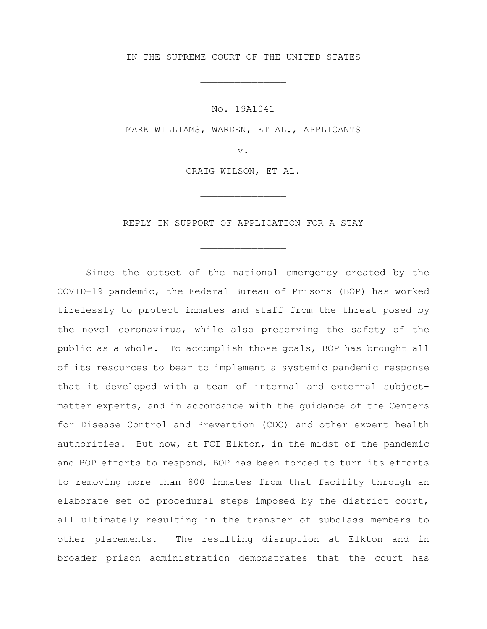IN THE SUPREME COURT OF THE UNITED STATES

\_\_\_\_\_\_\_\_\_\_\_\_\_\_\_

No. 19A1041

MARK WILLIAMS, WARDEN, ET AL., APPLICANTS

v.

CRAIG WILSON, ET AL.

\_\_\_\_\_\_\_\_\_\_\_\_\_\_\_

REPLY IN SUPPORT OF APPLICATION FOR A STAY

\_\_\_\_\_\_\_\_\_\_\_\_\_\_\_

Since the outset of the national emergency created by the COVID-19 pandemic, the Federal Bureau of Prisons (BOP) has worked tirelessly to protect inmates and staff from the threat posed by the novel coronavirus, while also preserving the safety of the public as a whole. To accomplish those goals, BOP has brought all of its resources to bear to implement a systemic pandemic response that it developed with a team of internal and external subjectmatter experts, and in accordance with the guidance of the Centers for Disease Control and Prevention (CDC) and other expert health authorities. But now, at FCI Elkton, in the midst of the pandemic and BOP efforts to respond, BOP has been forced to turn its efforts to removing more than 800 inmates from that facility through an elaborate set of procedural steps imposed by the district court, all ultimately resulting in the transfer of subclass members to other placements. The resulting disruption at Elkton and in broader prison administration demonstrates that the court has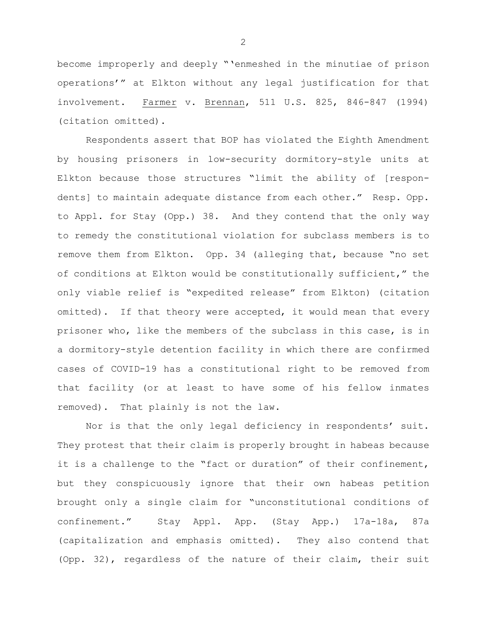become improperly and deeply "'enmeshed in the minutiae of prison operations'" at Elkton without any legal justification for that involvement. Farmer v. Brennan, 511 U.S. 825, 846-847 (1994) (citation omitted).

Respondents assert that BOP has violated the Eighth Amendment by housing prisoners in low-security dormitory-style units at Elkton because those structures "limit the ability of [respondents] to maintain adequate distance from each other." Resp. Opp. to Appl. for Stay (Opp.) 38. And they contend that the only way to remedy the constitutional violation for subclass members is to remove them from Elkton. Opp. 34 (alleging that, because "no set of conditions at Elkton would be constitutionally sufficient," the only viable relief is "expedited release" from Elkton) (citation omitted). If that theory were accepted, it would mean that every prisoner who, like the members of the subclass in this case, is in a dormitory-style detention facility in which there are confirmed cases of COVID-19 has a constitutional right to be removed from that facility (or at least to have some of his fellow inmates removed). That plainly is not the law.

Nor is that the only legal deficiency in respondents' suit. They protest that their claim is properly brought in habeas because it is a challenge to the "fact or duration" of their confinement, but they conspicuously ignore that their own habeas petition brought only a single claim for "unconstitutional conditions of confinement." Stay Appl. App. (Stay App.) 17a-18a, 87a (capitalization and emphasis omitted). They also contend that (Opp. 32), regardless of the nature of their claim, their suit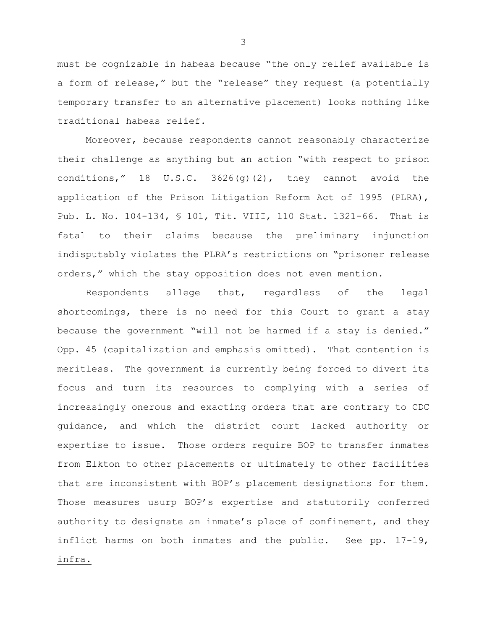must be cognizable in habeas because "the only relief available is a form of release," but the "release" they request (a potentially temporary transfer to an alternative placement) looks nothing like traditional habeas relief.

Moreover, because respondents cannot reasonably characterize their challenge as anything but an action "with respect to prison conditions," 18 U.S.C. 3626(g)(2), they cannot avoid the application of the Prison Litigation Reform Act of 1995 (PLRA), Pub. L. No. 104-134, § 101, Tit. VIII, 110 Stat. 1321-66. That is fatal to their claims because the preliminary injunction indisputably violates the PLRA's restrictions on "prisoner release orders," which the stay opposition does not even mention.

Respondents allege that, regardless of the legal shortcomings, there is no need for this Court to grant a stay because the government "will not be harmed if a stay is denied." Opp. 45 (capitalization and emphasis omitted). That contention is meritless. The government is currently being forced to divert its focus and turn its resources to complying with a series of increasingly onerous and exacting orders that are contrary to CDC guidance, and which the district court lacked authority or expertise to issue. Those orders require BOP to transfer inmates from Elkton to other placements or ultimately to other facilities that are inconsistent with BOP's placement designations for them. Those measures usurp BOP's expertise and statutorily conferred authority to designate an inmate's place of confinement, and they inflict harms on both inmates and the public. See pp. 17-19, infra.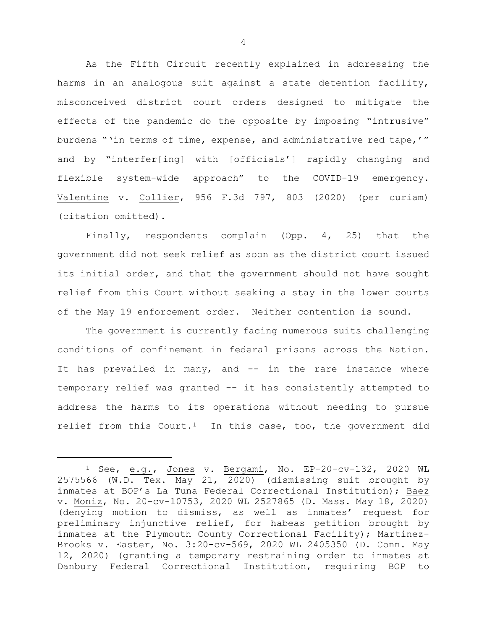As the Fifth Circuit recently explained in addressing the harms in an analogous suit against a state detention facility, misconceived district court orders designed to mitigate the effects of the pandemic do the opposite by imposing "intrusive" burdens "'in terms of time, expense, and administrative red tape,'" and by "interfer[ing] with [officials'] rapidly changing and flexible system-wide approach" to the COVID-19 emergency. Valentine v. Collier, 956 F.3d 797, 803 (2020) (per curiam) (citation omitted).

Finally, respondents complain (Opp. 4, 25) that the government did not seek relief as soon as the district court issued its initial order, and that the government should not have sought relief from this Court without seeking a stay in the lower courts of the May 19 enforcement order. Neither contention is sound.

The government is currently facing numerous suits challenging conditions of confinement in federal prisons across the Nation. It has prevailed in many, and -- in the rare instance where temporary relief was granted -- it has consistently attempted to address the harms to its operations without needing to pursue relief from this Court.<sup>[1](#page-4-0)</sup> In this case, too, the government did

Ĩ.

<span id="page-4-0"></span><sup>1</sup> See, e.g., Jones v. Bergami, No. EP-20-cv-132, 2020 WL 2575566 (W.D. Tex. May 21, 2020) (dismissing suit brought by inmates at BOP's La Tuna Federal Correctional Institution); Baez v. Moniz, No. 20-cv-10753, 2020 WL 2527865 (D. Mass. May 18, 2020) (denying motion to dismiss, as well as inmates' request for preliminary injunctive relief, for habeas petition brought by inmates at the Plymouth County Correctional Facility); Martinez-Brooks v. Easter, No. 3:20-cv-569, 2020 WL 2405350 (D. Conn. May 12, 2020) (granting a temporary restraining order to inmates at Danbury Federal Correctional Institution, requiring BOP to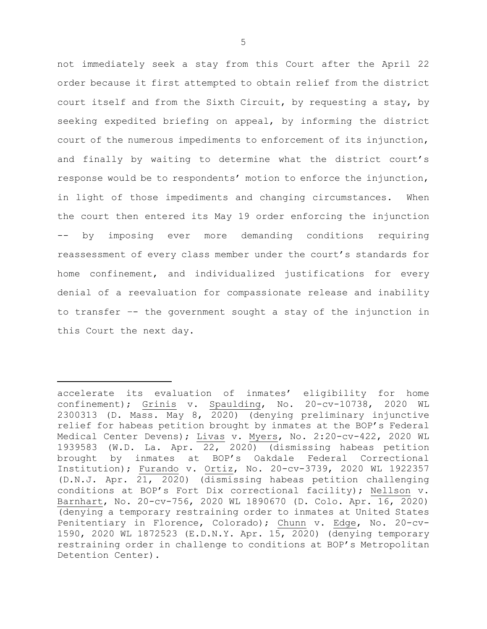not immediately seek a stay from this Court after the April 22 order because it first attempted to obtain relief from the district court itself and from the Sixth Circuit, by requesting a stay, by seeking expedited briefing on appeal, by informing the district court of the numerous impediments to enforcement of its injunction, and finally by waiting to determine what the district court's response would be to respondents' motion to enforce the injunction, in light of those impediments and changing circumstances. When the court then entered its May 19 order enforcing the injunction -- by imposing ever more demanding conditions requiring reassessment of every class member under the court's standards for home confinement, and individualized justifications for every denial of a reevaluation for compassionate release and inability to transfer –- the government sought a stay of the injunction in this Court the next day.

Ĩ.

accelerate its evaluation of inmates' eligibility for home confinement); Grinis v. Spaulding, No. 20-cv-10738, 2020 WL 2300313 (D. Mass. May 8, 2020) (denying preliminary injunctive relief for habeas petition brought by inmates at the BOP's Federal Medical Center Devens); Livas v. Myers, No. 2:20-cv-422, 2020 WL 1939583 (W.D. La. Apr. 22, 2020) (dismissing habeas petition<br>brought by inmates at BOP's Oakdale Federal Correctional by inmates at BOP's Oakdale Federal Correctional Institution); Furando v. Ortiz, No. 20-cv-3739, 2020 WL 1922357 (D.N.J. Apr. 21, 2020) (dismissing habeas petition challenging conditions at BOP's Fort Dix correctional facility); Nellson v. Barnhart, No. 20-cv-756, 2020 WL 1890670 (D. Colo. Apr. 16, 2020) (denying a temporary restraining order to inmates at United States Penitentiary in Florence, Colorado); Chunn v. Edge, No. 20-cv-1590, 2020 WL 1872523 (E.D.N.Y. Apr. 15, 2020) (denying temporary restraining order in challenge to conditions at BOP's Metropolitan Detention Center).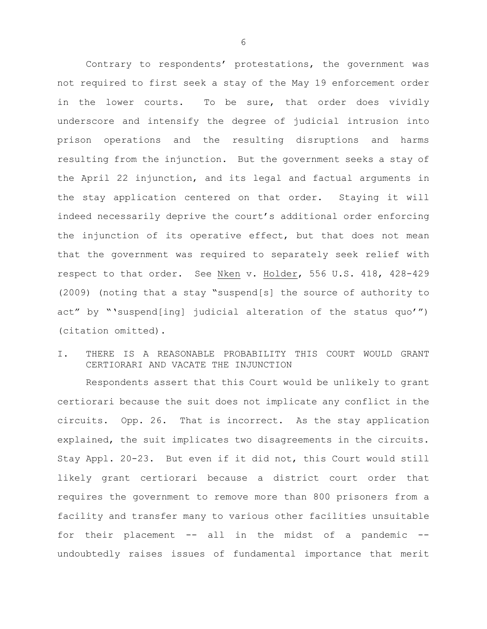Contrary to respondents' protestations, the government was not required to first seek a stay of the May 19 enforcement order in the lower courts. To be sure, that order does vividly underscore and intensify the degree of judicial intrusion into prison operations and the resulting disruptions and harms resulting from the injunction. But the government seeks a stay of the April 22 injunction, and its legal and factual arguments in the stay application centered on that order. Staying it will indeed necessarily deprive the court's additional order enforcing the injunction of its operative effect, but that does not mean that the government was required to separately seek relief with respect to that order. See Nken v. Holder, 556 U.S. 418, 428-429 (2009) (noting that a stay "suspend[s] the source of authority to act" by "'suspend[ing] judicial alteration of the status quo'") (citation omitted).

## I. THERE IS A REASONABLE PROBABILITY THIS COURT WOULD GRANT CERTIORARI AND VACATE THE INJUNCTION

Respondents assert that this Court would be unlikely to grant certiorari because the suit does not implicate any conflict in the circuits. Opp. 26. That is incorrect. As the stay application explained, the suit implicates two disagreements in the circuits. Stay Appl. 20-23. But even if it did not, this Court would still likely grant certiorari because a district court order that requires the government to remove more than 800 prisoners from a facility and transfer many to various other facilities unsuitable for their placement -- all in the midst of a pandemic - undoubtedly raises issues of fundamental importance that merit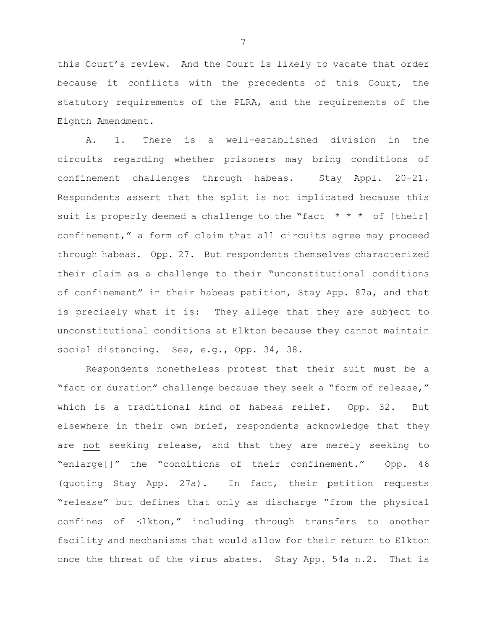this Court's review. And the Court is likely to vacate that order because it conflicts with the precedents of this Court, the statutory requirements of the PLRA, and the requirements of the Eighth Amendment.

A. 1. There is a well-established division in the circuits regarding whether prisoners may bring conditions of confinement challenges through habeas. Stay Appl. 20-21. Respondents assert that the split is not implicated because this suit is properly deemed a challenge to the "fact  $* * *$  of [their] confinement," a form of claim that all circuits agree may proceed through habeas. Opp. 27. But respondents themselves characterized their claim as a challenge to their "unconstitutional conditions of confinement" in their habeas petition, Stay App. 87a, and that is precisely what it is: They allege that they are subject to unconstitutional conditions at Elkton because they cannot maintain social distancing. See, e.g., Opp. 34, 38.

Respondents nonetheless protest that their suit must be a "fact or duration" challenge because they seek a "form of release," which is a traditional kind of habeas relief. Opp. 32. But elsewhere in their own brief, respondents acknowledge that they are not seeking release, and that they are merely seeking to "enlarge[]" the "conditions of their confinement." Opp. 46 (quoting Stay App. 27a). In fact, their petition requests "release" but defines that only as discharge "from the physical confines of Elkton," including through transfers to another facility and mechanisms that would allow for their return to Elkton once the threat of the virus abates. Stay App. 54a n.2. That is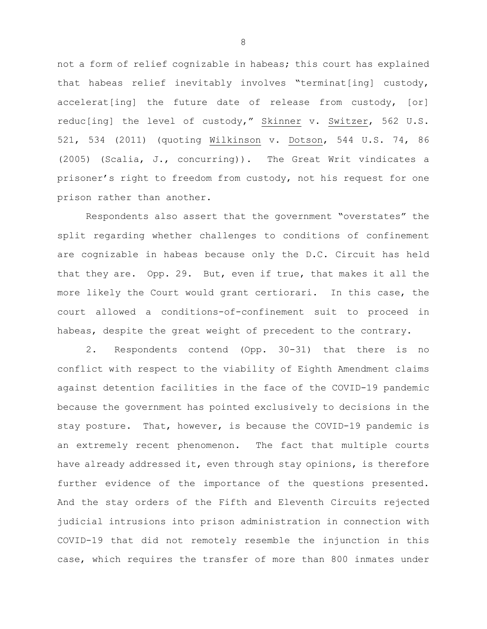not a form of relief cognizable in habeas; this court has explained that habeas relief inevitably involves "terminat[ing] custody, accelerat[ing] the future date of release from custody, [or] reduc[ing] the level of custody," Skinner v. Switzer, 562 U.S. 521, 534 (2011) (quoting Wilkinson v. Dotson, 544 U.S. 74, 86 (2005) (Scalia, J., concurring)). The Great Writ vindicates a prisoner's right to freedom from custody, not his request for one prison rather than another.

Respondents also assert that the government "overstates" the split regarding whether challenges to conditions of confinement are cognizable in habeas because only the D.C. Circuit has held that they are. Opp. 29. But, even if true, that makes it all the more likely the Court would grant certiorari. In this case, the court allowed a conditions-of-confinement suit to proceed in habeas, despite the great weight of precedent to the contrary.

2. Respondents contend (Opp. 30-31) that there is no conflict with respect to the viability of Eighth Amendment claims against detention facilities in the face of the COVID-19 pandemic because the government has pointed exclusively to decisions in the stay posture. That, however, is because the COVID-19 pandemic is an extremely recent phenomenon. The fact that multiple courts have already addressed it, even through stay opinions, is therefore further evidence of the importance of the questions presented. And the stay orders of the Fifth and Eleventh Circuits rejected judicial intrusions into prison administration in connection with COVID-19 that did not remotely resemble the injunction in this case, which requires the transfer of more than 800 inmates under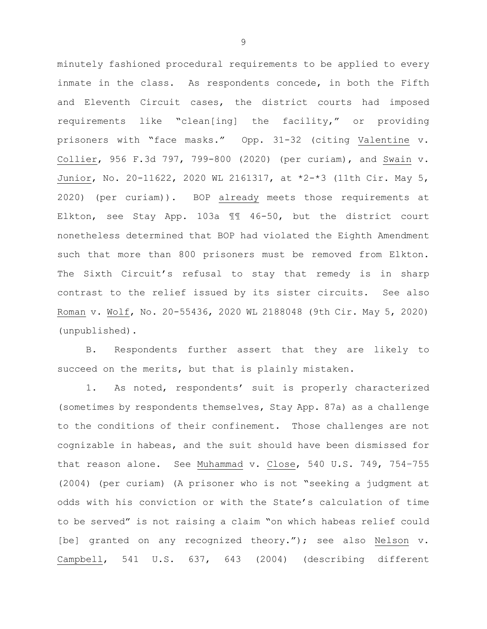minutely fashioned procedural requirements to be applied to every inmate in the class. As respondents concede, in both the Fifth and Eleventh Circuit cases, the district courts had imposed requirements like "clean[ing] the facility," or providing prisoners with "face masks." Opp. 31-32 (citing Valentine v. Collier, 956 F.3d 797, 799-800 (2020) (per curiam), and Swain v. Junior, No. 20-11622, 2020 WL 2161317, at \*2-\*3 (11th Cir. May 5, 2020) (per curiam)). BOP already meets those requirements at Elkton, see Stay App. 103a ¶¶ 46-50, but the district court nonetheless determined that BOP had violated the Eighth Amendment such that more than 800 prisoners must be removed from Elkton. The Sixth Circuit's refusal to stay that remedy is in sharp contrast to the relief issued by its sister circuits. See also Roman v. Wolf, No. 20-55436, 2020 WL 2188048 (9th Cir. May 5, 2020) (unpublished).

B. Respondents further assert that they are likely to succeed on the merits, but that is plainly mistaken.

1. As noted, respondents' suit is properly characterized (sometimes by respondents themselves, Stay App. 87a) as a challenge to the conditions of their confinement. Those challenges are not cognizable in habeas, and the suit should have been dismissed for that reason alone. See Muhammad v. Close, 540 U.S. 749, 754–755 (2004) (per curiam) (A prisoner who is not "seeking a judgment at odds with his conviction or with the State's calculation of time to be served" is not raising a claim "on which habeas relief could [be] granted on any recognized theory."); see also Nelson v. Campbell, 541 U.S. 637, 643 (2004) (describing different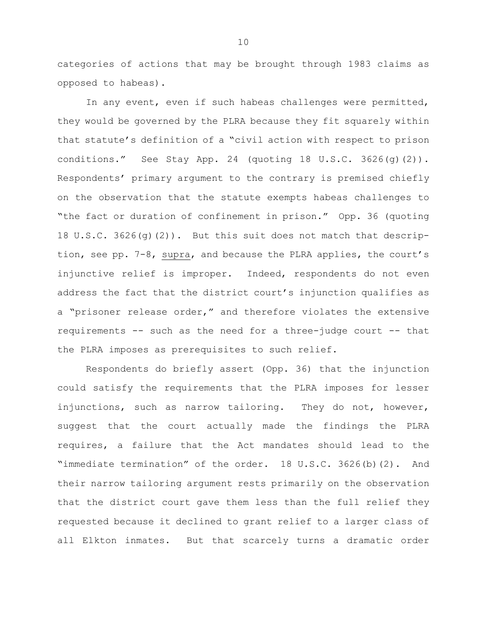categories of actions that may be brought through 1983 claims as opposed to habeas).

In any event, even if such habeas challenges were permitted, they would be governed by the PLRA because they fit squarely within that statute's definition of a "civil action with respect to prison conditions." See Stay App. 24 (quoting 18 U.S.C. 3626(g)(2)). Respondents' primary argument to the contrary is premised chiefly on the observation that the statute exempts habeas challenges to "the fact or duration of confinement in prison." Opp. 36 (quoting 18 U.S.C. 3626(g)(2)). But this suit does not match that description, see pp. 7-8, supra, and because the PLRA applies, the court's injunctive relief is improper. Indeed, respondents do not even address the fact that the district court's injunction qualifies as a "prisoner release order," and therefore violates the extensive requirements -- such as the need for a three-judge court -- that the PLRA imposes as prerequisites to such relief.

Respondents do briefly assert (Opp. 36) that the injunction could satisfy the requirements that the PLRA imposes for lesser injunctions, such as narrow tailoring. They do not, however, suggest that the court actually made the findings the PLRA requires, a failure that the Act mandates should lead to the "immediate termination" of the order. 18 U.S.C. 3626(b)(2). And their narrow tailoring argument rests primarily on the observation that the district court gave them less than the full relief they requested because it declined to grant relief to a larger class of all Elkton inmates. But that scarcely turns a dramatic order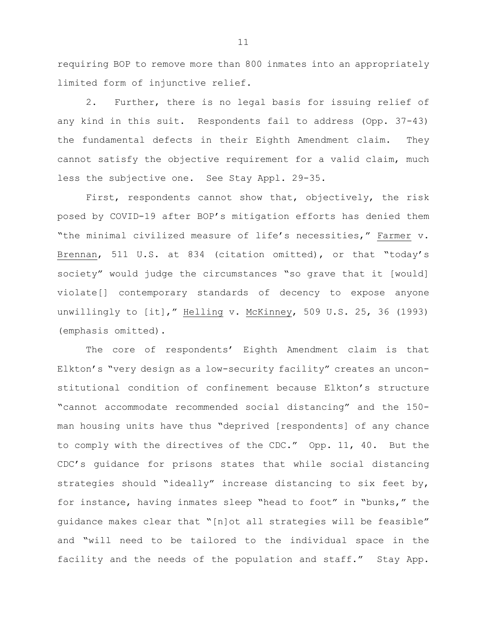requiring BOP to remove more than 800 inmates into an appropriately limited form of injunctive relief.

2. Further, there is no legal basis for issuing relief of any kind in this suit. Respondents fail to address (Opp. 37-43) the fundamental defects in their Eighth Amendment claim. They cannot satisfy the objective requirement for a valid claim, much less the subjective one. See Stay Appl. 29-35.

First, respondents cannot show that, objectively, the risk posed by COVID-19 after BOP's mitigation efforts has denied them "the minimal civilized measure of life's necessities," Farmer v. Brennan, 511 U.S. at 834 (citation omitted), or that "today's society" would judge the circumstances "so grave that it [would] violate[] contemporary standards of decency to expose anyone unwillingly to [it]," Helling v. McKinney, 509 U.S. 25, 36 (1993) (emphasis omitted).

The core of respondents' Eighth Amendment claim is that Elkton's "very design as a low-security facility" creates an unconstitutional condition of confinement because Elkton's structure "cannot accommodate recommended social distancing" and the 150 man housing units have thus "deprived [respondents] of any chance to comply with the directives of the CDC." Opp. 11, 40. But the CDC's guidance for prisons states that while social distancing strategies should "ideally" increase distancing to six feet by, for instance, having inmates sleep "head to foot" in "bunks," the guidance makes clear that "[n]ot all strategies will be feasible" and "will need to be tailored to the individual space in the facility and the needs of the population and staff." Stay App.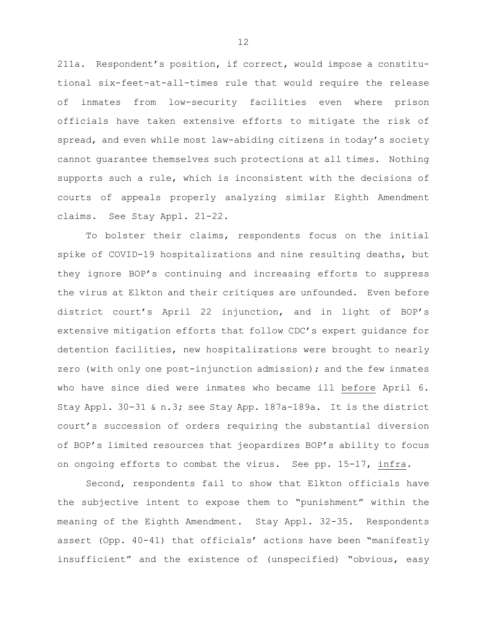211a. Respondent's position, if correct, would impose a constitutional six-feet-at-all-times rule that would require the release of inmates from low-security facilities even where prison officials have taken extensive efforts to mitigate the risk of spread, and even while most law-abiding citizens in today's society cannot guarantee themselves such protections at all times. Nothing supports such a rule, which is inconsistent with the decisions of courts of appeals properly analyzing similar Eighth Amendment claims. See Stay Appl. 21-22.

To bolster their claims, respondents focus on the initial spike of COVID-19 hospitalizations and nine resulting deaths, but they ignore BOP's continuing and increasing efforts to suppress the virus at Elkton and their critiques are unfounded. Even before district court's April 22 injunction, and in light of BOP's extensive mitigation efforts that follow CDC's expert guidance for detention facilities, new hospitalizations were brought to nearly zero (with only one post-injunction admission); and the few inmates who have since died were inmates who became ill before April 6. Stay Appl. 30-31 & n.3; see Stay App. 187a-189a. It is the district court's succession of orders requiring the substantial diversion of BOP's limited resources that jeopardizes BOP's ability to focus on ongoing efforts to combat the virus. See pp. 15-17, infra.

Second, respondents fail to show that Elkton officials have the subjective intent to expose them to "punishment" within the meaning of the Eighth Amendment. Stay Appl. 32-35. Respondents assert (Opp. 40-41) that officials' actions have been "manifestly insufficient" and the existence of (unspecified) "obvious, easy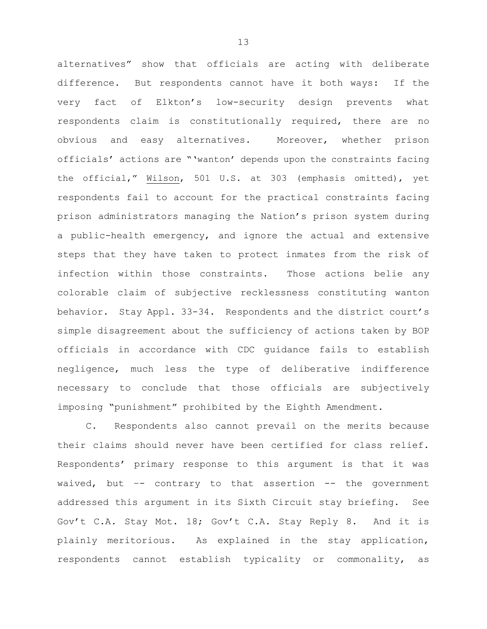alternatives" show that officials are acting with deliberate difference. But respondents cannot have it both ways: If the very fact of Elkton's low-security design prevents what respondents claim is constitutionally required, there are no obvious and easy alternatives. Moreover, whether prison officials' actions are "'wanton' depends upon the constraints facing the official," Wilson, 501 U.S. at 303 (emphasis omitted), yet respondents fail to account for the practical constraints facing prison administrators managing the Nation's prison system during a public-health emergency, and ignore the actual and extensive steps that they have taken to protect inmates from the risk of infection within those constraints. Those actions belie any colorable claim of subjective recklessness constituting wanton behavior. Stay Appl. 33-34. Respondents and the district court's simple disagreement about the sufficiency of actions taken by BOP officials in accordance with CDC guidance fails to establish negligence, much less the type of deliberative indifference necessary to conclude that those officials are subjectively imposing "punishment" prohibited by the Eighth Amendment.

C. Respondents also cannot prevail on the merits because their claims should never have been certified for class relief. Respondents' primary response to this argument is that it was waived, but –- contrary to that assertion -- the government addressed this argument in its Sixth Circuit stay briefing. See Gov't C.A. Stay Mot. 18; Gov't C.A. Stay Reply 8. And it is plainly meritorious. As explained in the stay application, respondents cannot establish typicality or commonality, as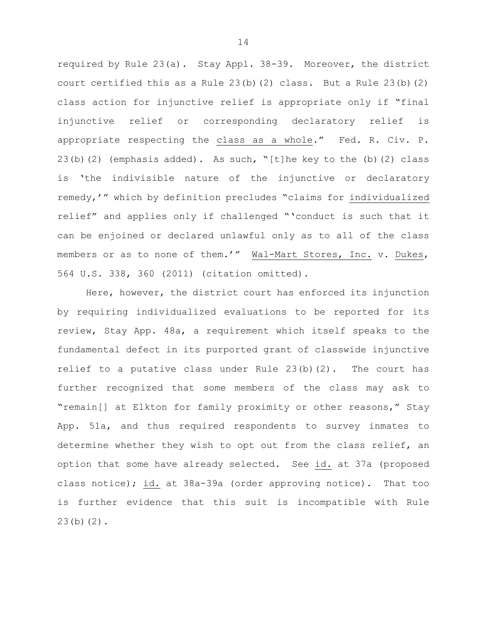required by Rule 23(a). Stay Appl. 38-39. Moreover, the district court certified this as a Rule 23(b)(2) class. But a Rule 23(b)(2) class action for injunctive relief is appropriate only if "final injunctive relief or corresponding declaratory relief is appropriate respecting the class as a whole." Fed. R. Civ. P. 23(b)(2) (emphasis added). As such, "[t]he key to the (b)(2) class is 'the indivisible nature of the injunctive or declaratory remedy,'" which by definition precludes "claims for individualized relief" and applies only if challenged "'conduct is such that it can be enjoined or declared unlawful only as to all of the class members or as to none of them.'" Wal-Mart Stores, Inc. v. Dukes, 564 U.S. 338, 360 (2011) (citation omitted).

Here, however, the district court has enforced its injunction by requiring individualized evaluations to be reported for its review, Stay App. 48a, a requirement which itself speaks to the fundamental defect in its purported grant of classwide injunctive relief to a putative class under Rule  $23(b)(2)$ . The court has further recognized that some members of the class may ask to "remain[] at Elkton for family proximity or other reasons," Stay App. 51a, and thus required respondents to survey inmates to determine whether they wish to opt out from the class relief, an option that some have already selected. See id. at 37a (proposed class notice); id. at 38a-39a (order approving notice). That too is further evidence that this suit is incompatible with Rule 23(b)(2).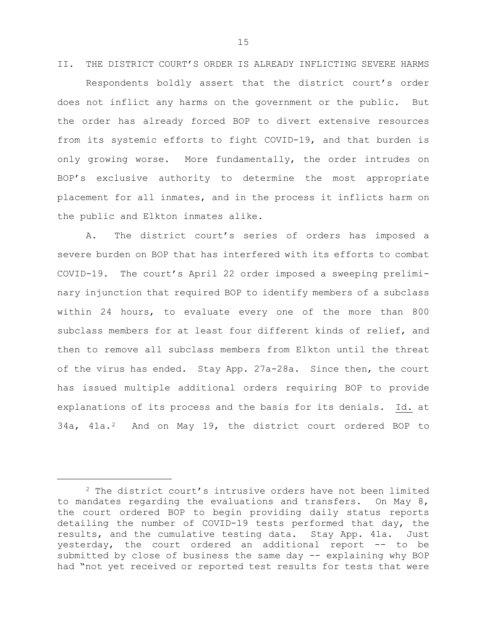II. THE DISTRICT COURT'S ORDER IS ALREADY INFLICTING SEVERE HARMS Respondents boldly assert that the district court's order does not inflict any harms on the government or the public. But the order has already forced BOP to divert extensive resources from its systemic efforts to fight COVID-19, and that burden is only growing worse. More fundamentally, the order intrudes on BOP's exclusive authority to determine the most appropriate placement for all inmates, and in the process it inflicts harm on the public and Elkton inmates alike.

A. The district court's series of orders has imposed a severe burden on BOP that has interfered with its efforts to combat COVID-19. The court's April 22 order imposed a sweeping preliminary injunction that required BOP to identify members of a subclass within 24 hours, to evaluate every one of the more than 800 subclass members for at least four different kinds of relief, and then to remove all subclass members from Elkton until the threat of the virus has ended. Stay App. 27a-28a. Since then, the court has issued multiple additional orders requiring BOP to provide explanations of its process and the basis for its denials. Id. at 34a, 41a.[2](#page-15-0) And on May 19, the district court ordered BOP to

ī

<span id="page-15-0"></span><sup>&</sup>lt;sup>2</sup> The district court's intrusive orders have not been limited to mandates regarding the evaluations and transfers. On May 8, the court ordered BOP to begin providing daily status reports detailing the number of COVID-19 tests performed that day, the results, and the cumulative testing data. Stay App. 41a. Just yesterday, the court ordered an additional report -- to be submitted by close of business the same day -- explaining why BOP had "not yet received or reported test results for tests that were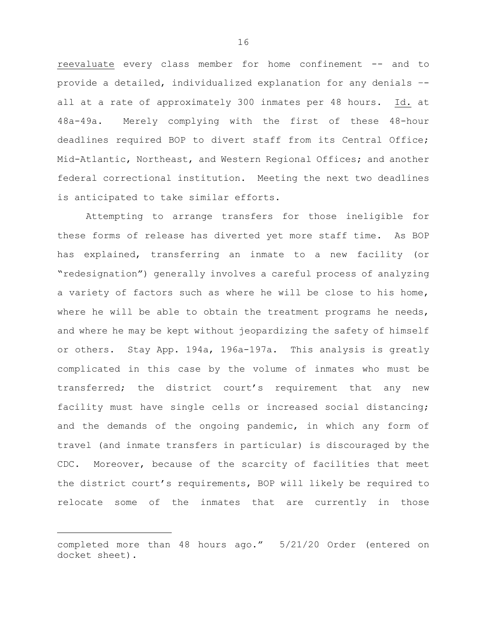reevaluate every class member for home confinement -- and to provide a detailed, individualized explanation for any denials – all at a rate of approximately 300 inmates per 48 hours. Id. at 48a-49a. Merely complying with the first of these 48-hour deadlines required BOP to divert staff from its Central Office; Mid-Atlantic, Northeast, and Western Regional Offices; and another federal correctional institution. Meeting the next two deadlines is anticipated to take similar efforts.

Attempting to arrange transfers for those ineligible for these forms of release has diverted yet more staff time. As BOP has explained, transferring an inmate to a new facility (or "redesignation") generally involves a careful process of analyzing a variety of factors such as where he will be close to his home, where he will be able to obtain the treatment programs he needs, and where he may be kept without jeopardizing the safety of himself or others. Stay App. 194a, 196a-197a. This analysis is greatly complicated in this case by the volume of inmates who must be transferred; the district court's requirement that any new facility must have single cells or increased social distancing; and the demands of the ongoing pandemic, in which any form of travel (and inmate transfers in particular) is discouraged by the CDC. Moreover, because of the scarcity of facilities that meet the district court's requirements, BOP will likely be required to relocate some of the inmates that are currently in those

Ĩ.

completed more than 48 hours ago." 5/21/20 Order (entered on docket sheet).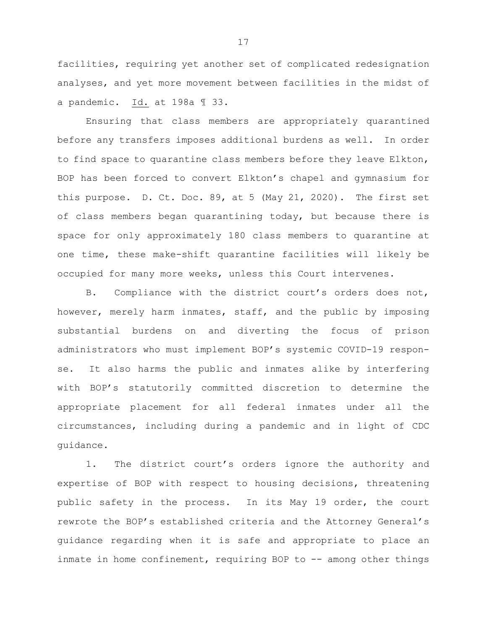facilities, requiring yet another set of complicated redesignation analyses, and yet more movement between facilities in the midst of a pandemic. Id. at 198a ¶ 33.

Ensuring that class members are appropriately quarantined before any transfers imposes additional burdens as well. In order to find space to quarantine class members before they leave Elkton, BOP has been forced to convert Elkton's chapel and gymnasium for this purpose. D. Ct. Doc. 89, at 5 (May 21, 2020). The first set of class members began quarantining today, but because there is space for only approximately 180 class members to quarantine at one time, these make-shift quarantine facilities will likely be occupied for many more weeks, unless this Court intervenes.

B. Compliance with the district court's orders does not, however, merely harm inmates, staff, and the public by imposing substantial burdens on and diverting the focus of prison administrators who must implement BOP's systemic COVID-19 response. It also harms the public and inmates alike by interfering with BOP's statutorily committed discretion to determine the appropriate placement for all federal inmates under all the circumstances, including during a pandemic and in light of CDC guidance.

1. The district court's orders ignore the authority and expertise of BOP with respect to housing decisions, threatening public safety in the process. In its May 19 order, the court rewrote the BOP's established criteria and the Attorney General's guidance regarding when it is safe and appropriate to place an inmate in home confinement, requiring BOP to -- among other things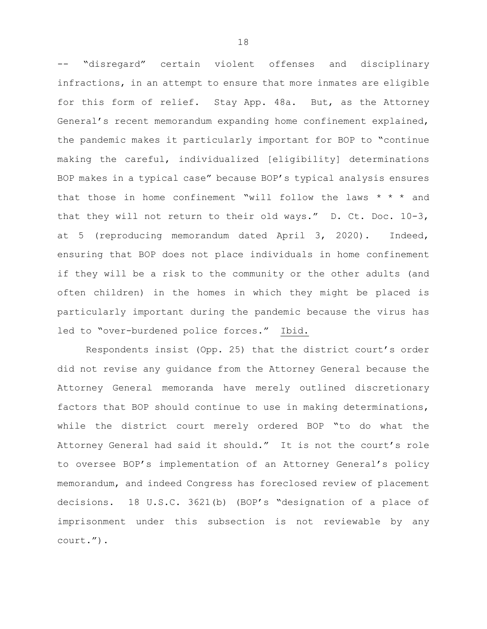-- "disregard" certain violent offenses and disciplinary infractions, in an attempt to ensure that more inmates are eligible for this form of relief. Stay App. 48a. But, as the Attorney General's recent memorandum expanding home confinement explained, the pandemic makes it particularly important for BOP to "continue making the careful, individualized [eligibility] determinations BOP makes in a typical case" because BOP's typical analysis ensures that those in home confinement "will follow the laws  $* * *$  and that they will not return to their old ways." D. Ct. Doc. 10-3, at 5 (reproducing memorandum dated April 3, 2020). Indeed, ensuring that BOP does not place individuals in home confinement if they will be a risk to the community or the other adults (and often children) in the homes in which they might be placed is particularly important during the pandemic because the virus has led to "over-burdened police forces." Ibid.

Respondents insist (Opp. 25) that the district court's order did not revise any guidance from the Attorney General because the Attorney General memoranda have merely outlined discretionary factors that BOP should continue to use in making determinations, while the district court merely ordered BOP "to do what the Attorney General had said it should." It is not the court's role to oversee BOP's implementation of an Attorney General's policy memorandum, and indeed Congress has foreclosed review of placement decisions. 18 U.S.C. 3621(b) (BOP's "designation of a place of imprisonment under this subsection is not reviewable by any court.").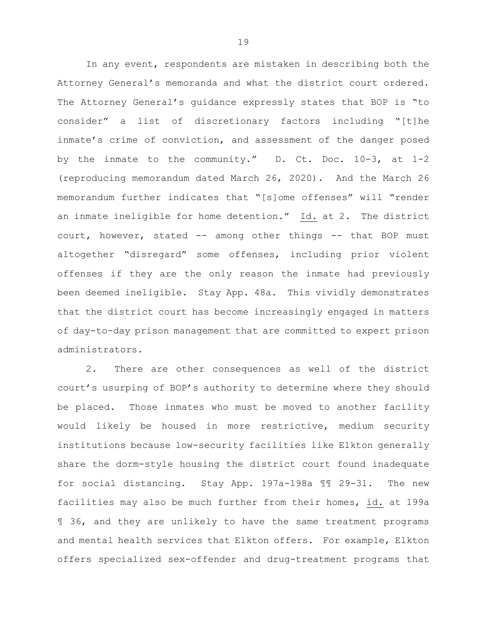In any event, respondents are mistaken in describing both the Attorney General's memoranda and what the district court ordered. The Attorney General's guidance expressly states that BOP is "to consider" a list of discretionary factors including "[t]he inmate's crime of conviction, and assessment of the danger posed by the inmate to the community." D. Ct. Doc. 10-3, at 1-2 (reproducing memorandum dated March 26, 2020). And the March 26 memorandum further indicates that "[s]ome offenses" will "render an inmate ineligible for home detention." Id. at 2. The district court, however, stated -- among other things -- that BOP must altogether "disregard" some offenses, including prior violent offenses if they are the only reason the inmate had previously been deemed ineligible. Stay App. 48a. This vividly demonstrates that the district court has become increasingly engaged in matters of day-to-day prison management that are committed to expert prison administrators.

2. There are other consequences as well of the district court's usurping of BOP's authority to determine where they should be placed. Those inmates who must be moved to another facility would likely be housed in more restrictive, medium security institutions because low-security facilities like Elkton generally share the dorm-style housing the district court found inadequate for social distancing. Stay App. 197a-198a ¶¶ 29-31. The new facilities may also be much further from their homes, id. at 199a ¶ 36, and they are unlikely to have the same treatment programs and mental health services that Elkton offers. For example, Elkton offers specialized sex-offender and drug-treatment programs that